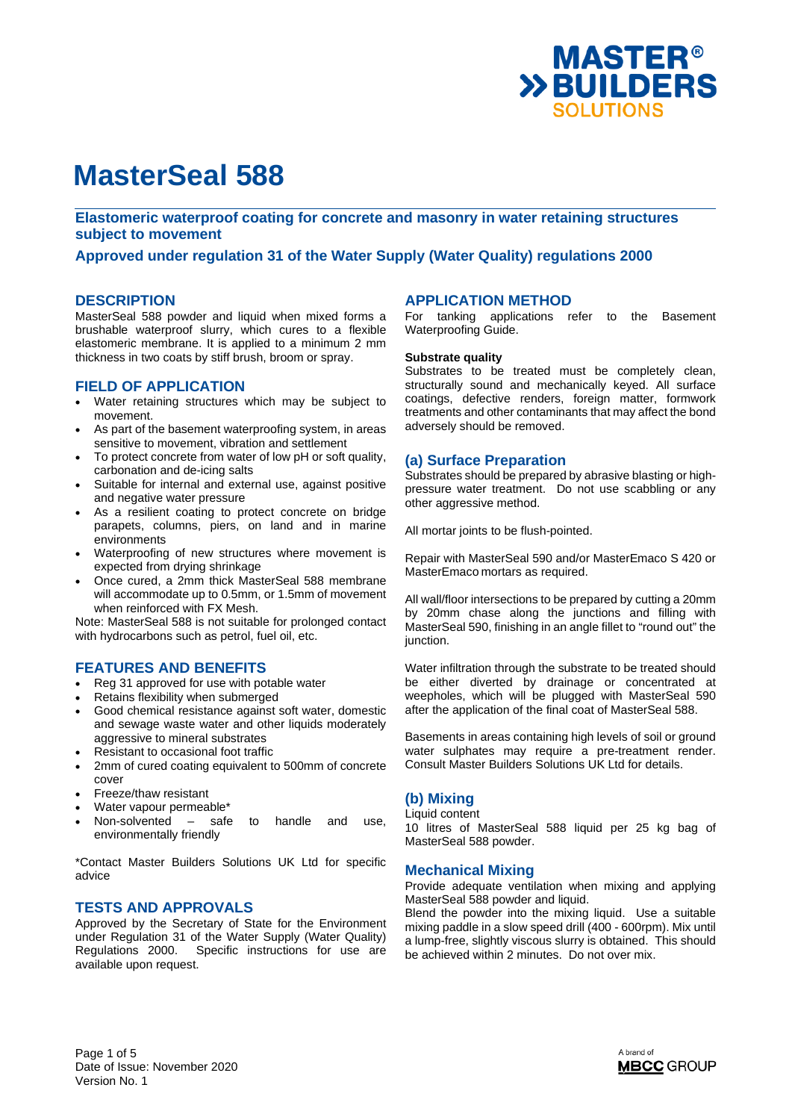

**Elastomeric waterproof coating for concrete and masonry in water retaining structures subject to movement** 

# **Approved under regulation 31 of the Water Supply (Water Quality) regulations 2000**

### **DESCRIPTION**

MasterSeal 588 powder and liquid when mixed forms a brushable waterproof slurry, which cures to a flexible elastomeric membrane. It is applied to a minimum 2 mm thickness in two coats by stiff brush, broom or spray.

# **FIELD OF APPLICATION**

- Water retaining structures which may be subject to movement.
- As part of the basement waterproofing system, in areas sensitive to movement, vibration and settlement
- To protect concrete from water of low pH or soft quality, carbonation and de-icing salts
- Suitable for internal and external use, against positive and negative water pressure
- As a resilient coating to protect concrete on bridge parapets, columns, piers, on land and in marine environments
- Waterproofing of new structures where movement is expected from drying shrinkage
- Once cured, a 2mm thick MasterSeal 588 membrane will accommodate up to 0.5mm, or 1.5mm of movement when reinforced with FX Mesh.

Note: MasterSeal 588 is not suitable for prolonged contact with hydrocarbons such as petrol, fuel oil, etc.

# **FEATURES AND BENEFITS**

- Reg 31 approved for use with potable water
- Retains flexibility when submerged
- Good chemical resistance against soft water, domestic and sewage waste water and other liquids moderately aggressive to mineral substrates
- Resistant to occasional foot traffic
- 2mm of cured coating equivalent to 500mm of concrete cover
- Freeze/thaw resistant
- Water vapour permeable\*
- Non-solvented safe to handle and use, environmentally friendly

\*Contact Master Builders Solutions UK Ltd for specific advice

# **TESTS AND APPROVALS**

Approved by the Secretary of State for the Environment under Regulation 31 of the Water Supply (Water Quality) Regulations 2000. Specific instructions for use are available upon request.

# **APPLICATION METHOD**

For tanking applications refer to the Basement Waterproofing Guide.

#### **Substrate quality**

Substrates to be treated must be completely clean, structurally sound and mechanically keyed. All surface coatings, defective renders, foreign matter, formwork treatments and other contaminants that may affect the bond adversely should be removed.

## **(a) Surface Preparation**

Substrates should be prepared by abrasive blasting or highpressure water treatment. Do not use scabbling or any other aggressive method.

All mortar joints to be flush-pointed.

Repair with MasterSeal 590 and/or MasterEmaco S 420 or MasterEmaco mortars as required.

All wall/floor intersections to be prepared by cutting a 20mm by 20mm chase along the junctions and filling with MasterSeal 590, finishing in an angle fillet to "round out" the junction.

Water infiltration through the substrate to be treated should be either diverted by drainage or concentrated at weepholes, which will be plugged with MasterSeal 590 after the application of the final coat of MasterSeal 588.

Basements in areas containing high levels of soil or ground water sulphates may require a pre-treatment render. Consult Master Builders Solutions UK Ltd for details.

#### **(b) Mixing**  Liquid content

10 litres of MasterSeal 588 liquid per 25 kg bag of MasterSeal 588 powder.

# **Mechanical Mixing**

Provide adequate ventilation when mixing and applying MasterSeal 588 powder and liquid.

Blend the powder into the mixing liquid. Use a suitable mixing paddle in a slow speed drill (400 - 600rpm). Mix until a lump-free, slightly viscous slurry is obtained. This should be achieved within 2 minutes. Do not over mix.

Page 1 of 5 Date of Issue: November 2020 Version No. 1

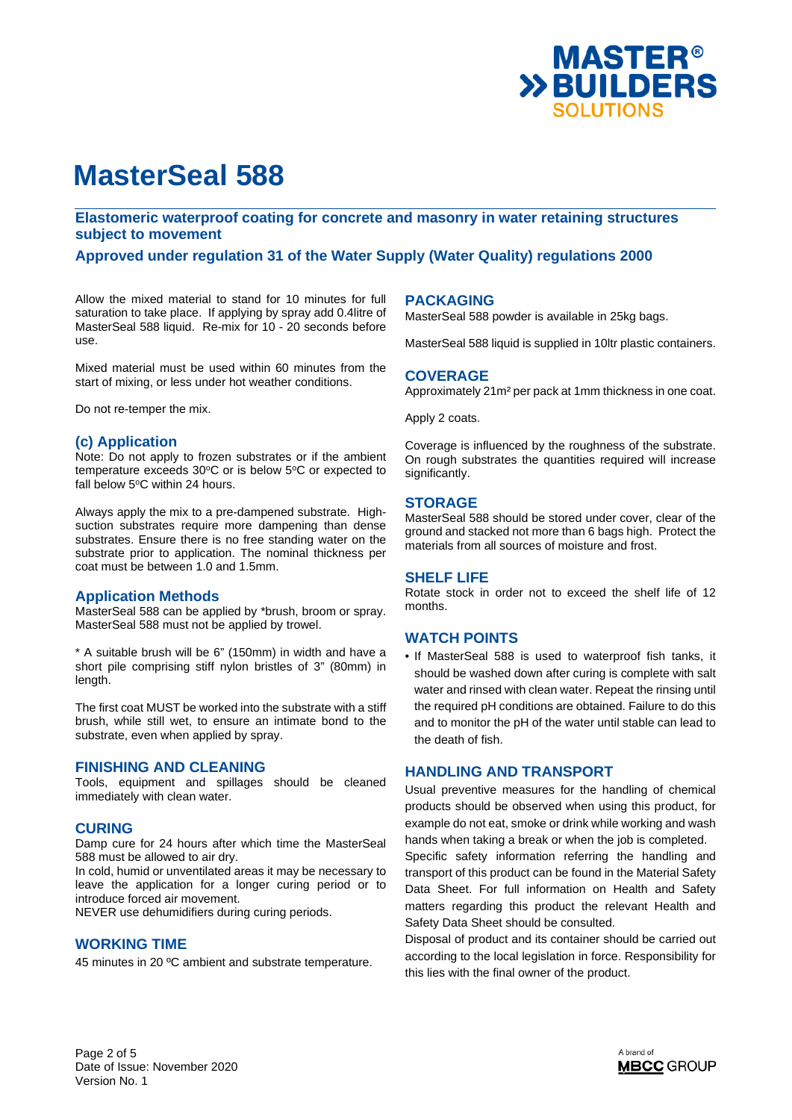

**Elastomeric waterproof coating for concrete and masonry in water retaining structures subject to movement** 

**Approved under regulation 31 of the Water Supply (Water Quality) regulations 2000** 

Allow the mixed material to stand for 10 minutes for full saturation to take place. If applying by spray add 0.4litre of MasterSeal 588 liquid. Re-mix for 10 - 20 seconds before use.

Mixed material must be used within 60 minutes from the start of mixing, or less under hot weather conditions.

Do not re-temper the mix.

## **(c) Application**

Note: Do not apply to frozen substrates or if the ambient temperature exceeds  $30^{\circ}$ C or is below  $5^{\circ}$ C or expected to fall below  $5^{\circ}$ C within 24 hours.

Always apply the mix to a pre-dampened substrate. Highsuction substrates require more dampening than dense substrates. Ensure there is no free standing water on the substrate prior to application. The nominal thickness per coat must be between 1.0 and 1.5mm.

### **Application Methods**

MasterSeal 588 can be applied by \*brush, broom or spray. MasterSeal 588 must not be applied by trowel.

\* A suitable brush will be 6" (150mm) in width and have a short pile comprising stiff nylon bristles of 3" (80mm) in length.

The first coat MUST be worked into the substrate with a stiff brush, while still wet, to ensure an intimate bond to the substrate, even when applied by spray.

#### **FINISHING AND CLEANING**

Tools, equipment and spillages should be cleaned immediately with clean water.

### **CURING**

Damp cure for 24 hours after which time the MasterSeal 588 must be allowed to air dry.

In cold, humid or unventilated areas it may be necessary to leave the application for a longer curing period or to introduce forced air movement.

NEVER use dehumidifiers during curing periods.

# **WORKING TIME**

45 minutes in 20 ºC ambient and substrate temperature.

### **PACKAGING**

MasterSeal 588 powder is available in 25kg bags.

MasterSeal 588 liquid is supplied in 10ltr plastic containers.

#### **COVERAGE**

Approximately 21m² per pack at 1mm thickness in one coat.

Apply 2 coats.

Coverage is influenced by the roughness of the substrate. On rough substrates the quantities required will increase significantly.

### **STORAGE**

MasterSeal 588 should be stored under cover, clear of the ground and stacked not more than 6 bags high. Protect the materials from all sources of moisture and frost.

## **SHELF LIFE**

Rotate stock in order not to exceed the shelf life of 12 months.

### **WATCH POINTS**

• If MasterSeal 588 is used to waterproof fish tanks, it should be washed down after curing is complete with salt water and rinsed with clean water. Repeat the rinsing until the required pH conditions are obtained. Failure to do this and to monitor the pH of the water until stable can lead to the death of fish.

### **HANDLING AND TRANSPORT**

Usual preventive measures for the handling of chemical products should be observed when using this product, for example do not eat, smoke or drink while working and wash hands when taking a break or when the job is completed.

Specific safety information referring the handling and transport of this product can be found in the Material Safety Data Sheet. For full information on Health and Safety matters regarding this product the relevant Health and Safety Data Sheet should be consulted.

Disposal of product and its container should be carried out according to the local legislation in force. Responsibility for this lies with the final owner of the product.

Page 2 of 5 Date of Issue: November 2020 Version No. 1

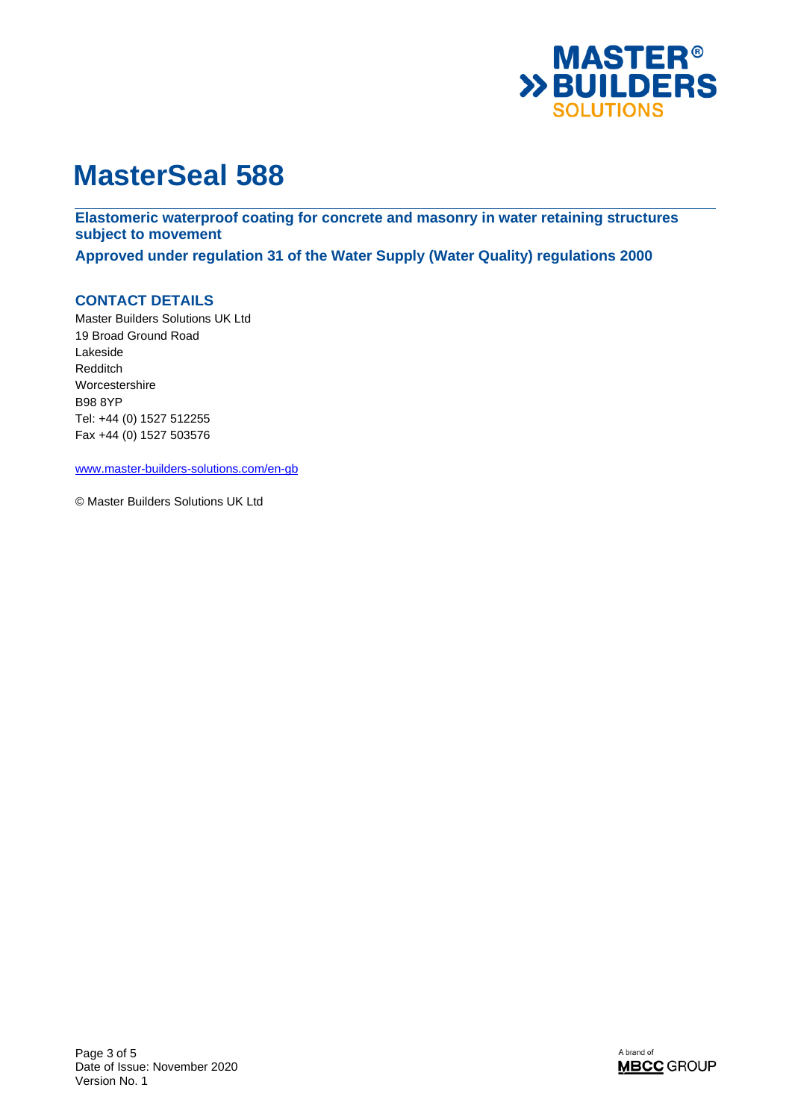

**Elastomeric waterproof coating for concrete and masonry in water retaining structures subject to movement** 

**Approved under regulation 31 of the Water Supply (Water Quality) regulations 2000** 

# **CONTACT DETAILS**

Master Builders Solutions UK Ltd 19 Broad Ground Road Lakeside Redditch Worcestershire B98 8YP Tel: +44 (0) 1527 512255 Fax +44 (0) 1527 503576

www.master-builders-solutions.com/en-gb

© Master Builders Solutions UK Ltd

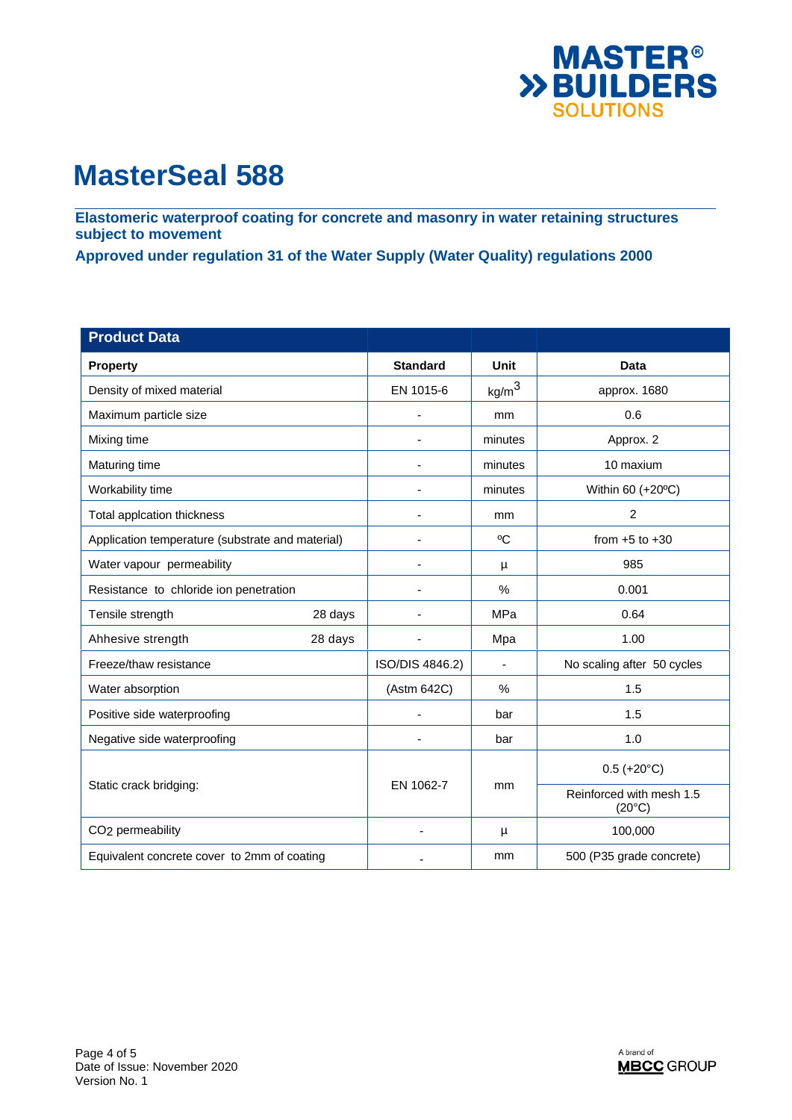

**Elastomeric waterproof coating for concrete and masonry in water retaining structures subject to movement** 

**Approved under regulation 31 of the Water Supply (Water Quality) regulations 2000** 

| <b>Product Data</b>                              |                 |                   |                                             |
|--------------------------------------------------|-----------------|-------------------|---------------------------------------------|
| <b>Property</b>                                  | <b>Standard</b> | Unit              | <b>Data</b>                                 |
| Density of mixed material                        | EN 1015-6       | kg/m <sup>3</sup> | approx. 1680                                |
| Maximum particle size                            | $\blacksquare$  | mm                | 0.6                                         |
| Mixing time                                      |                 | minutes           | Approx. 2                                   |
| Maturing time                                    |                 | minutes           | 10 maxium                                   |
| Workability time                                 | ٠               | minutes           | Within 60 (+20°C)                           |
| Total applcation thickness                       |                 | mm                | $\overline{c}$                              |
| Application temperature (substrate and material) |                 | °C                | from $+5$ to $+30$                          |
| Water vapour permeability                        |                 | μ                 | 985                                         |
| Resistance to chloride ion penetration           |                 | $\%$              | 0.001                                       |
| Tensile strength<br>28 days                      |                 | MPa               | 0.64                                        |
| Ahhesive strength<br>28 days                     |                 | Mpa               | 1.00                                        |
| Freeze/thaw resistance                           | ISO/DIS 4846.2) | $\mathbf{r}$      | No scaling after 50 cycles                  |
| Water absorption                                 | (Astm 642C)     | $\%$              | 1.5                                         |
| Positive side waterproofing                      | ٠               | bar               | 1.5                                         |
| Negative side waterproofing                      |                 | bar               | 1.0                                         |
| Static crack bridging:                           | EN 1062-7       | mm                | $0.5 (+20°C)$                               |
|                                                  |                 |                   | Reinforced with mesh 1.5<br>$(20^{\circ}C)$ |
| CO <sub>2</sub> permeability                     | L,              | μ                 | 100,000                                     |
| Equivalent concrete cover to 2mm of coating      |                 | mm                | 500 (P35 grade concrete)                    |